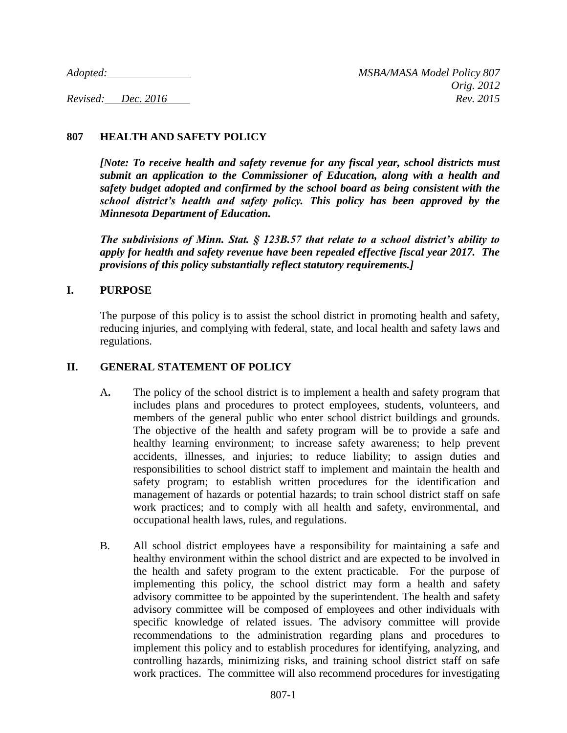# **807 HEALTH AND SAFETY POLICY**

*[Note: To receive health and safety revenue for any fiscal year, school districts must submit an application to the Commissioner of Education, along with a health and safety budget adopted and confirmed by the school board as being consistent with the school district's health and safety policy. This policy has been approved by the Minnesota Department of Education.*

*The subdivisions of Minn. Stat. § 123B.57 that relate to a school district's ability to apply for health and safety revenue have been repealed effective fiscal year 2017. The provisions of this policy substantially reflect statutory requirements.]*

### **I. PURPOSE**

The purpose of this policy is to assist the school district in promoting health and safety, reducing injuries, and complying with federal, state, and local health and safety laws and regulations.

## **II. GENERAL STATEMENT OF POLICY**

- A**.** The policy of the school district is to implement a health and safety program that includes plans and procedures to protect employees, students, volunteers, and members of the general public who enter school district buildings and grounds. The objective of the health and safety program will be to provide a safe and healthy learning environment; to increase safety awareness; to help prevent accidents, illnesses, and injuries; to reduce liability; to assign duties and responsibilities to school district staff to implement and maintain the health and safety program; to establish written procedures for the identification and management of hazards or potential hazards; to train school district staff on safe work practices; and to comply with all health and safety, environmental, and occupational health laws, rules, and regulations.
- B. All school district employees have a responsibility for maintaining a safe and healthy environment within the school district and are expected to be involved in the health and safety program to the extent practicable. For the purpose of implementing this policy, the school district may form a health and safety advisory committee to be appointed by the superintendent. The health and safety advisory committee will be composed of employees and other individuals with specific knowledge of related issues. The advisory committee will provide recommendations to the administration regarding plans and procedures to implement this policy and to establish procedures for identifying, analyzing, and controlling hazards, minimizing risks, and training school district staff on safe work practices. The committee will also recommend procedures for investigating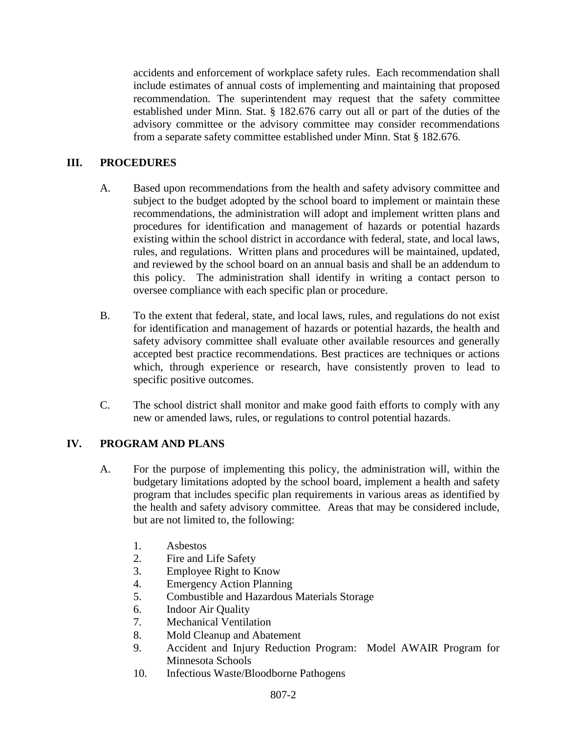accidents and enforcement of workplace safety rules. Each recommendation shall include estimates of annual costs of implementing and maintaining that proposed recommendation. The superintendent may request that the safety committee established under Minn. Stat. § 182.676 carry out all or part of the duties of the advisory committee or the advisory committee may consider recommendations from a separate safety committee established under Minn. Stat § 182.676.

# **III. PROCEDURES**

- A. Based upon recommendations from the health and safety advisory committee and subject to the budget adopted by the school board to implement or maintain these recommendations, the administration will adopt and implement written plans and procedures for identification and management of hazards or potential hazards existing within the school district in accordance with federal, state, and local laws, rules, and regulations. Written plans and procedures will be maintained, updated, and reviewed by the school board on an annual basis and shall be an addendum to this policy. The administration shall identify in writing a contact person to oversee compliance with each specific plan or procedure.
- B. To the extent that federal, state, and local laws, rules, and regulations do not exist for identification and management of hazards or potential hazards, the health and safety advisory committee shall evaluate other available resources and generally accepted best practice recommendations. Best practices are techniques or actions which, through experience or research, have consistently proven to lead to specific positive outcomes.
- C. The school district shall monitor and make good faith efforts to comply with any new or amended laws, rules, or regulations to control potential hazards.

# **IV. PROGRAM AND PLANS**

- A. For the purpose of implementing this policy, the administration will, within the budgetary limitations adopted by the school board, implement a health and safety program that includes specific plan requirements in various areas as identified by the health and safety advisory committee. Areas that may be considered include, but are not limited to, the following:
	- 1. Asbestos
	- 2. Fire and Life Safety
	- 3. Employee Right to Know
	- 4. Emergency Action Planning
	- 5. Combustible and Hazardous Materials Storage
	- 6. Indoor Air Quality
	- 7. Mechanical Ventilation
	- 8. Mold Cleanup and Abatement
	- 9. Accident and Injury Reduction Program: Model AWAIR Program for Minnesota Schools
	- 10. Infectious Waste/Bloodborne Pathogens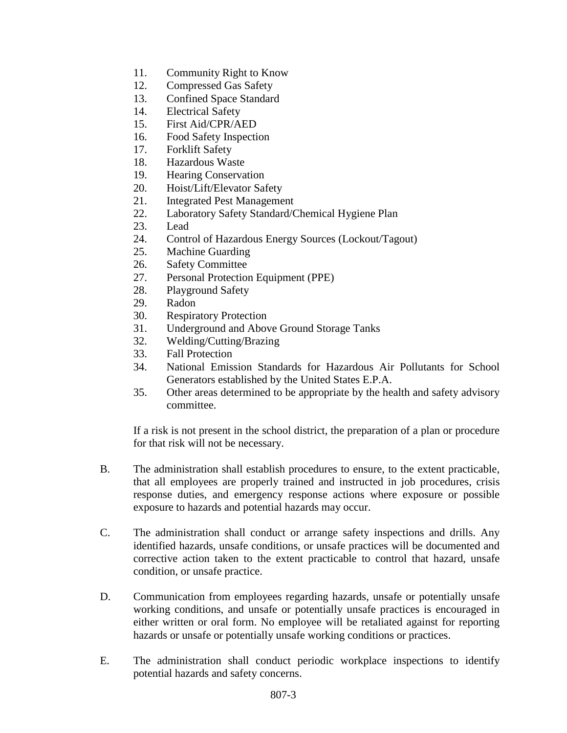- 11. Community Right to Know
- 12. Compressed Gas Safety
- 13. Confined Space Standard
- 14. Electrical Safety
- 15. First Aid/CPR/AED
- 16. Food Safety Inspection
- 17. Forklift Safety
- 18. Hazardous Waste
- 19. Hearing Conservation
- 20. Hoist/Lift/Elevator Safety
- 21. Integrated Pest Management
- 22. Laboratory Safety Standard/Chemical Hygiene Plan
- 23. Lead
- 24. Control of Hazardous Energy Sources (Lockout/Tagout)
- 25. Machine Guarding
- 26. Safety Committee
- 27. Personal Protection Equipment (PPE)
- 28. Playground Safety
- 29. Radon
- 30. Respiratory Protection
- 31. Underground and Above Ground Storage Tanks
- 32. Welding/Cutting/Brazing
- 33. Fall Protection
- 34. National Emission Standards for Hazardous Air Pollutants for School Generators established by the United States E.P.A.
- 35. Other areas determined to be appropriate by the health and safety advisory committee.

If a risk is not present in the school district, the preparation of a plan or procedure for that risk will not be necessary.

- B. The administration shall establish procedures to ensure, to the extent practicable, that all employees are properly trained and instructed in job procedures, crisis response duties, and emergency response actions where exposure or possible exposure to hazards and potential hazards may occur.
- C. The administration shall conduct or arrange safety inspections and drills. Any identified hazards, unsafe conditions, or unsafe practices will be documented and corrective action taken to the extent practicable to control that hazard, unsafe condition, or unsafe practice.
- D. Communication from employees regarding hazards, unsafe or potentially unsafe working conditions, and unsafe or potentially unsafe practices is encouraged in either written or oral form. No employee will be retaliated against for reporting hazards or unsafe or potentially unsafe working conditions or practices.
- E. The administration shall conduct periodic workplace inspections to identify potential hazards and safety concerns.